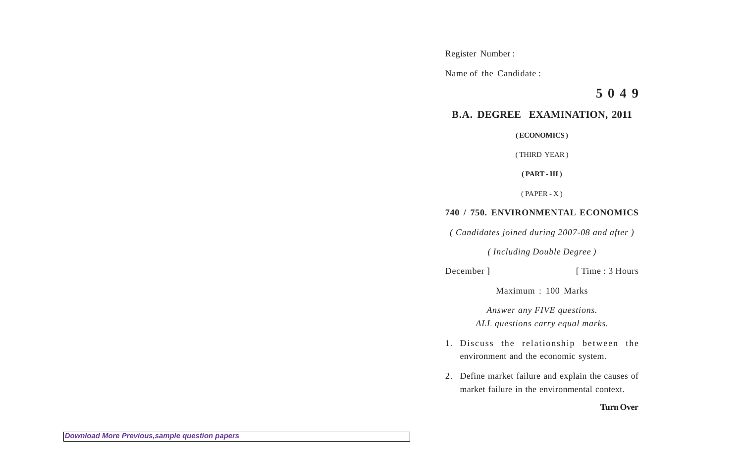Register Number :

Name of the Candidate :

**5 0 4 9**

## **B.A. DEGREE EXAMINATION, 2011**

**( ECONOMICS )**

( THIRD YEAR )

**( PART - III )**

( PAPER - X )

## **740 / 750. ENVIRONMENTAL ECONOMICS**

*( Candidates joined during 2007-08 and after )*

*( Including Double Degree )*

December ] [ Time : 3 Hours

Maximum : 100 Marks

*Answer any FIVE questions. ALL questions carry equal marks.*

- 1. Discuss the relationship between the environment and the economic system.
- 2. Define market failure and explain the causes of market failure in the environmental context.

## **Turn Over**